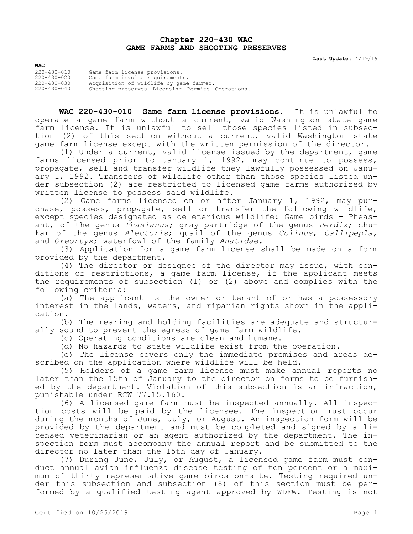## **Chapter 220-430 WAC GAME FARMS AND SHOOTING PRESERVES**

**Last Update:** 4/19/19

| .                 |                                                  |
|-------------------|--------------------------------------------------|
| $220 - 430 - 010$ | Game farm license provisions.                    |
| $220 - 430 - 020$ | Game farm invoice requirements.                  |
| $220 - 430 - 030$ | Acquisition of wildlife by game farmer.          |
| $220 - 430 - 040$ | Shooting preserves-Licensing-Permits-Operations. |

**WAC**

**WAC 220-430-010 Game farm license provisions.** It is unlawful to operate a game farm without a current, valid Washington state game farm license. It is unlawful to sell those species listed in subsection (2) of this section without a current, valid Washington state game farm license except with the written permission of the director.

(1) Under a current, valid license issued by the department, game farms licensed prior to January 1, 1992, may continue to possess, propagate, sell and transfer wildlife they lawfully possessed on January 1, 1992. Transfers of wildlife other than those species listed under subsection (2) are restricted to licensed game farms authorized by written license to possess said wildlife.

(2) Game farms licensed on or after January 1, 1992, may purchase, possess, propagate, sell or transfer the following wildlife, except species designated as deleterious wildlife: Game birds - Pheasant, of the genus *Phasianus*; gray partridge of the genus *Perdix*; chukar of the genus *Alectoris*; quail of the genus *Colinus*, *Callipepla*, and *Oreortyx*; waterfowl of the family *Anatidae.*

(3) Application for a game farm license shall be made on a form provided by the department.

(4) The director or designee of the director may issue, with conditions or restrictions, a game farm license, if the applicant meets the requirements of subsection (1) or (2) above and complies with the following criteria:

(a) The applicant is the owner or tenant of or has a possessory interest in the lands, waters, and riparian rights shown in the application.

(b) The rearing and holding facilities are adequate and structurally sound to prevent the egress of game farm wildlife.

(c) Operating conditions are clean and humane.

(d) No hazards to state wildlife exist from the operation.

(e) The license covers only the immediate premises and areas described on the application where wildlife will be held.

(5) Holders of a game farm license must make annual reports no later than the 15th of January to the director on forms to be furnished by the department. Violation of this subsection is an infraction, punishable under RCW 77.15.160.

(6) A licensed game farm must be inspected annually. All inspection costs will be paid by the licensee. The inspection must occur during the months of June, July, or August. An inspection form will be provided by the department and must be completed and signed by a licensed veterinarian or an agent authorized by the department. The inspection form must accompany the annual report and be submitted to the director no later than the 15th day of January.

(7) During June, July, or August, a licensed game farm must conduct annual avian influenza disease testing of ten percent or a maximum of thirty representative game birds on-site. Testing required under this subsection and subsection (8) of this section must be performed by a qualified testing agent approved by WDFW. Testing is not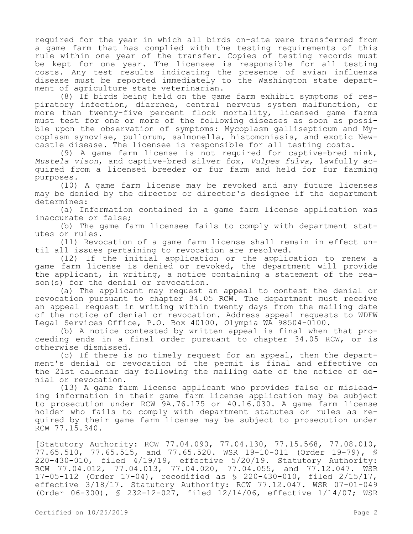required for the year in which all birds on-site were transferred from a game farm that has complied with the testing requirements of this rule within one year of the transfer. Copies of testing records must be kept for one year. The licensee is responsible for all testing costs. Any test results indicating the presence of avian influenza disease must be reported immediately to the Washington state department of agriculture state veterinarian.

(8) If birds being held on the game farm exhibit symptoms of respiratory infection, diarrhea, central nervous system malfunction, or more than twenty-five percent flock mortality, licensed game farms must test for one or more of the following diseases as soon as possible upon the observation of symptoms: Mycoplasm gallisepticum and Mycoplasm synoviae, pullorum, salmonella, histomoniasis, and exotic Newcastle disease. The licensee is responsible for all testing costs.

(9) A game farm license is not required for captive-bred mink, *Mustela vison*, and captive-bred silver fox, *Vulpes fulva*, lawfully acquired from a licensed breeder or fur farm and held for fur farming purposes.

(10) A game farm license may be revoked and any future licenses may be denied by the director or director's designee if the department determines:

(a) Information contained in a game farm license application was inaccurate or false;

(b) The game farm licensee fails to comply with department statutes or rules.

(11) Revocation of a game farm license shall remain in effect until all issues pertaining to revocation are resolved.

(12) If the initial application or the application to renew a game farm license is denied or revoked, the department will provide the applicant, in writing, a notice containing a statement of the reason(s) for the denial or revocation.

(a) The applicant may request an appeal to contest the denial or revocation pursuant to chapter 34.05 RCW. The department must receive an appeal request in writing within twenty days from the mailing date of the notice of denial or revocation. Address appeal requests to WDFW Legal Services Office, P.O. Box 40100, Olympia WA 98504-0100.

(b) A notice contested by written appeal is final when that proceeding ends in a final order pursuant to chapter 34.05 RCW, or is otherwise dismissed.

(c) If there is no timely request for an appeal, then the department's denial or revocation of the permit is final and effective on the 21st calendar day following the mailing date of the notice of denial or revocation.

(13) A game farm license applicant who provides false or misleading information in their game farm license application may be subject to prosecution under RCW 9A.76.175 or 40.16.030. A game farm license holder who fails to comply with department statutes or rules as required by their game farm license may be subject to prosecution under RCW 77.15.340.

[Statutory Authority: RCW 77.04.090, 77.04.130, 77.15.568, 77.08.010, 77.65.510, 77.65.515, and 77.65.520. WSR 19-10-011 (Order 19-79), § 220-430-010, filed 4/19/19, effective 5/20/19. Statutory Authority: RCW 77.04.012, 77.04.013, 77.04.020, 77.04.055, and 77.12.047. WSR 17-05-112 (Order 17-04), recodified as § 220-430-010, filed 2/15/17, effective 3/18/17. Statutory Authority: RCW 77.12.047. WSR 07-01-049 (Order 06-300), § 232-12-027, filed 12/14/06, effective 1/14/07; WSR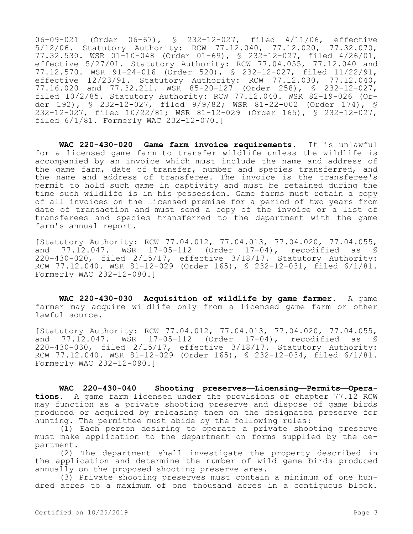06-09-021 (Order 06-67), § 232-12-027, filed 4/11/06, effective 5/12/06. Statutory Authority: RCW 77.12.040, 77.12.020, 77.32.070, 77.32.530. WSR 01-10-048 (Order 01-69), § 232-12-027, filed 4/26/01, effective 5/27/01. Statutory Authority: RCW 77.04.055, 77.12.040 and 77.12.570. WSR 91-24-016 (Order 520), § 232-12-027, filed 11/22/91, effective 12/23/91. Statutory Authority: RCW 77.12.030, 77.12.040, 77.16.020 and 77.32.211. WSR 85-20-127 (Order 258), § 232-12-027, filed 10/2/85. Statutory Authority: RCW 77.12.040. WSR 82-19-026 (Order 192), § 232-12-027, filed 9/9/82; WSR 81-22-002 (Order 174), § 232-12-027, filed 10/22/81; WSR 81-12-029 (Order 165), § 232-12-027, filed 6/1/81. Formerly WAC 232-12-070.]

**WAC 220-430-020 Game farm invoice requirements.** It is unlawful for a licensed game farm to transfer wildlife unless the wildlife is accompanied by an invoice which must include the name and address of the game farm, date of transfer, number and species transferred, and the name and address of transferee. The invoice is the transferee's permit to hold such game in captivity and must be retained during the time such wildlife is in his possession. Game farms must retain a copy of all invoices on the licensed premise for a period of two years from date of transaction and must send a copy of the invoice or a list of transferees and species transferred to the department with the game farm's annual report.

[Statutory Authority: RCW 77.04.012, 77.04.013, 77.04.020, 77.04.055, and 77.12.047. WSR 17-05-112 (Order 17-04), recodified as § 220-430-020, filed 2/15/17, effective 3/18/17. Statutory Authority: RCW 77.12.040. WSR 81-12-029 (Order 165), § 232-12-031, filed 6/1/81. Formerly WAC 232-12-080.]

**WAC 220-430-030 Acquisition of wildlife by game farmer.** A game farmer may acquire wildlife only from a licensed game farm or other lawful source.

[Statutory Authority: RCW 77.04.012, 77.04.013, 77.04.020, 77.04.055,<br>and 77.12.047. WSR 17-05-112 (Order 17-04), recodified as \$ and  $77.12.047$ . WSR  $17-05-112$  (Order  $17-04$ ), 220-430-030, filed 2/15/17, effective 3/18/17. Statutory Authority: RCW 77.12.040. WSR 81-12-029 (Order 165), § 232-12-034, filed 6/1/81. Formerly WAC 232-12-090.]

**WAC 220-430-040 Shooting preserves—Licensing—Permits—Operations.** A game farm licensed under the provisions of chapter 77.12 RCW may function as a private shooting preserve and dispose of game birds produced or acquired by releasing them on the designated preserve for hunting. The permittee must abide by the following rules:

(1) Each person desiring to operate a private shooting preserve must make application to the department on forms supplied by the department.

(2) The department shall investigate the property described in the application and determine the number of wild game birds produced annually on the proposed shooting preserve area.

(3) Private shooting preserves must contain a minimum of one hundred acres to a maximum of one thousand acres in a contiguous block.